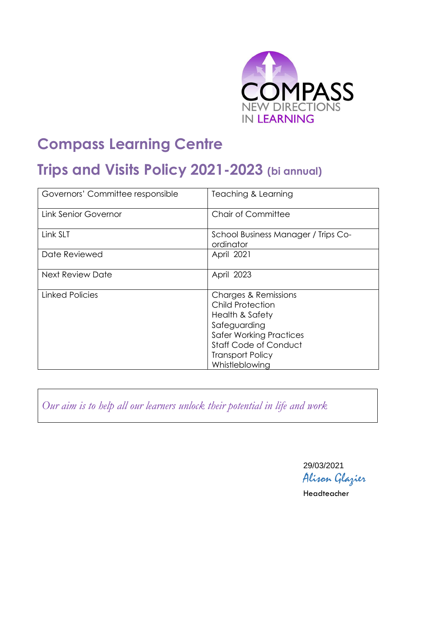

# **Compass Learning Centre**

# **Trips and Visits Policy 2021-2023 (bi annual)**

| Governors' Committee responsible | Teaching & Learning                                                                                                                                                                                          |
|----------------------------------|--------------------------------------------------------------------------------------------------------------------------------------------------------------------------------------------------------------|
| <b>Link Senior Governor</b>      | <b>Chair of Committee</b>                                                                                                                                                                                    |
| Link SLT                         | School Business Manager / Trips Co-<br>ordinator                                                                                                                                                             |
| Date Reviewed                    | April 2021                                                                                                                                                                                                   |
| <b>Next Review Date</b>          | April 2023                                                                                                                                                                                                   |
| Linked Policies                  | <b>Charges &amp; Remissions</b><br><b>Child Protection</b><br>Health & Safety<br>Safeguarding<br><b>Safer Working Practices</b><br><b>Staff Code of Conduct</b><br><b>Transport Policy</b><br>Whistleblowing |

*Our aim is to help all our learners unlock their potential in life and work*

29/03/2021 Alison Glazier

Headteacher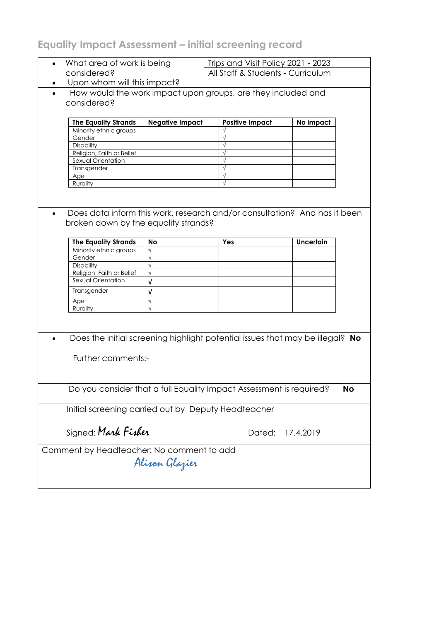# **Equality Impact Assessment – initial screening record**

| What area of work is being |                                                     | Trips and Visit Policy 2021 - 2023 |                                                                               |                  |           |
|----------------------------|-----------------------------------------------------|------------------------------------|-------------------------------------------------------------------------------|------------------|-----------|
| considered?                |                                                     | All Staff & Students - Curriculum  |                                                                               |                  |           |
|                            | Upon whom will this impact?                         |                                    |                                                                               |                  |           |
|                            |                                                     |                                    | How would the work impact upon groups, are they included and                  |                  |           |
|                            | considered?                                         |                                    |                                                                               |                  |           |
|                            |                                                     |                                    |                                                                               |                  |           |
|                            | <b>The Equality Strands</b>                         | <b>Negative Impact</b>             | <b>Positive Impact</b>                                                        | No impact        |           |
|                            | Minority ethnic groups                              |                                    |                                                                               |                  |           |
|                            | Gender                                              |                                    |                                                                               |                  |           |
|                            | Disability                                          |                                    |                                                                               |                  |           |
|                            | Religion, Faith or Belief                           |                                    |                                                                               |                  |           |
|                            | Sexual Orientation                                  |                                    |                                                                               |                  |           |
|                            | Transgender<br>Age                                  |                                    | $\sqrt{ }$                                                                    |                  |           |
|                            | Rurality                                            |                                    |                                                                               |                  |           |
|                            |                                                     |                                    |                                                                               |                  |           |
|                            |                                                     |                                    |                                                                               |                  |           |
|                            |                                                     |                                    |                                                                               |                  |           |
|                            |                                                     |                                    | Does data inform this work, research and/or consultation? And has it been     |                  |           |
|                            | broken down by the equality strands?                |                                    |                                                                               |                  |           |
|                            |                                                     |                                    |                                                                               |                  |           |
|                            | <b>The Equality Strands</b>                         | <b>No</b>                          | Yes                                                                           | <b>Uncertain</b> |           |
|                            | Minority ethnic groups                              | $\sqrt{}$                          |                                                                               |                  |           |
|                            | Gender                                              | $\sqrt{}$                          |                                                                               |                  |           |
|                            | Disability                                          | $\sqrt{}$                          |                                                                               |                  |           |
|                            | Religion, Faith or Belief                           | $\sqrt{ }$                         |                                                                               |                  |           |
|                            | Sexual Orientation                                  | $\sqrt{ }$                         |                                                                               |                  |           |
|                            | Transgender                                         | $\sqrt{ }$                         |                                                                               |                  |           |
|                            | Age                                                 | $\sqrt{}$                          |                                                                               |                  |           |
|                            | Rurality                                            | $\sqrt{ }$                         |                                                                               |                  |           |
|                            |                                                     |                                    |                                                                               |                  |           |
|                            |                                                     |                                    |                                                                               |                  |           |
|                            |                                                     |                                    |                                                                               |                  |           |
|                            |                                                     |                                    | Does the initial screening highlight potential issues that may be illegal? No |                  |           |
|                            |                                                     |                                    |                                                                               |                  |           |
|                            | Further comments:-                                  |                                    |                                                                               |                  |           |
|                            |                                                     |                                    |                                                                               |                  |           |
|                            |                                                     |                                    |                                                                               |                  |           |
|                            |                                                     |                                    |                                                                               |                  |           |
|                            |                                                     |                                    | Do you consider that a full Equality Impact Assessment is required?           |                  | <b>No</b> |
|                            |                                                     |                                    |                                                                               |                  |           |
|                            | Initial screening carried out by Deputy Headteacher |                                    |                                                                               |                  |           |
|                            |                                                     |                                    |                                                                               |                  |           |
|                            | Signed: Mark Fisher                                 |                                    |                                                                               |                  |           |
|                            |                                                     |                                    | Dated:                                                                        | 17.4.2019        |           |
|                            |                                                     |                                    |                                                                               |                  |           |
|                            | Comment by Headteacher: No comment to add           |                                    |                                                                               |                  |           |
|                            |                                                     | Alison Glazier                     |                                                                               |                  |           |
|                            |                                                     |                                    |                                                                               |                  |           |
|                            |                                                     |                                    |                                                                               |                  |           |
|                            |                                                     |                                    |                                                                               |                  |           |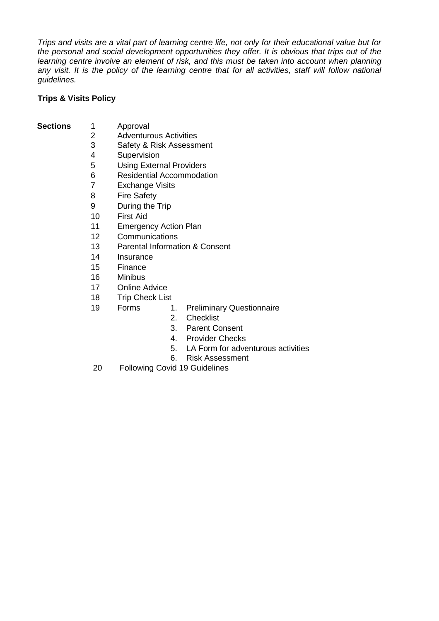*Trips and visits are a vital part of learning centre life, not only for their educational value but for the personal and social development opportunities they offer. It is obvious that trips out of the*  learning centre involve an element of risk, and this must be taken into account when planning any visit. It is the policy of the learning centre that for all activities, staff will follow national *guidelines.* 

# **Trips & Visits Policy**

- **Sections** 1 Approval<br>2 Adventure
	-
	- 2 Adventurous Activities<br>3 Safety & Risk Assessn Safety & Risk Assessment
	- 4 Supervision
	- 5 Using External Providers
	- 6 Residential Accommodation
	- 7 Exchange Visits
	- 8 Fire Safety
	- 9 During the Trip
	- 10 First Aid
	- 11 Emergency Action Plan
	- 12 Communications
	- 13 Parental Information & Consent
	- 14 Insurance
	- 15 Finance
	- 16 Minibus
	- 17 Online Advice
	- 18 Trip Check List
	- 19 Forms 1. Preliminary Questionnaire
		- 2. Checklist
		- 3. Parent Consent
		- 4. Provider Checks
		- 5. LA Form for adventurous activities
		- 6. Risk Assessment
	- 20 Following Covid 19 Guidelines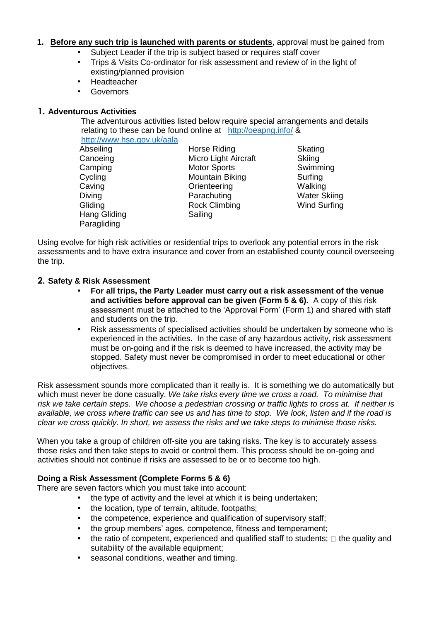#### **1. Before any such trip is launched with parents or students**, approval must be gained from

- Subject Leader if the trip is subject based or requires staff cover
- Trips & Visits Co-ordinator for risk assessment and review of in the light of existing/planned provision
- Headteacher
- Governors

#### **1. Adventurous Activities**

The adventurous activities listed below require special arrangements and details relating to these can be found online at <http://oeapng.info/> &

<http://www.hse.gov.uk/aala> Abseiling Canoeing Camping **Cycling** Caving Diving **Gliding** Hang Gliding

Paragliding

Horse Riding Micro Light Aircraft Motor Sports Mountain Biking **Orienteering** Parachuting Rock Climbing Sailing

**Skating Skiing** Swimming Surfing Walking Water Skiing Wind Surfing

Using evolve for high risk activities or residential trips to overlook any potential errors in the risk assessments and to have extra insurance and cover from an established county council overseeing the trip.

#### **2. Safety & Risk Assessment**

- **For all trips, the Party Leader must carry out a risk assessment of the venue and activities before approval can be given (Form 5 & 6).** A copy of this risk assessment must be attached to the 'Approval Form' (Form 1) and shared with staff and students on the trip.
- Risk assessments of specialised activities should be undertaken by someone who is experienced in the activities. In the case of any hazardous activity, risk assessment must be on-going and if the risk is deemed to have increased, the activity may be stopped. Safety must never be compromised in order to meet educational or other objectives.

Risk assessment sounds more complicated than it really is. It is something we do automatically but which must never be done casually. *We take risks every time we cross a road. To minimise that risk we take certain steps. We choose a pedestrian crossing or traffic lights to cross at. If neither is available, we cross where traffic can see us and has time to stop. We look, listen and if the road is clear we cross quickly. In short, we assess the risks and we take steps to minimise those risks.* 

When you take a group of children off-site you are taking risks. The key is to accurately assess those risks and then take steps to avoid or control them. This process should be on-going and activities should not continue if risks are assessed to be or to become too high.

#### **Doing a Risk Assessment (Complete Forms 5 & 6)**

There are seven factors which you must take into account:

- . the type of activity and the level at which it is being undertaken;
- the location, type of terrain, altitude, footpaths;
- the competence, experience and qualification of supervisory staff;
- the group members' ages, competence, fitness and temperament;
- $\bullet$  the ratio of competent, experienced and qualified staff to students;  $\Box$  the quality and suitability of the available equipment;
- **EXE** seasonal conditions, weather and timing.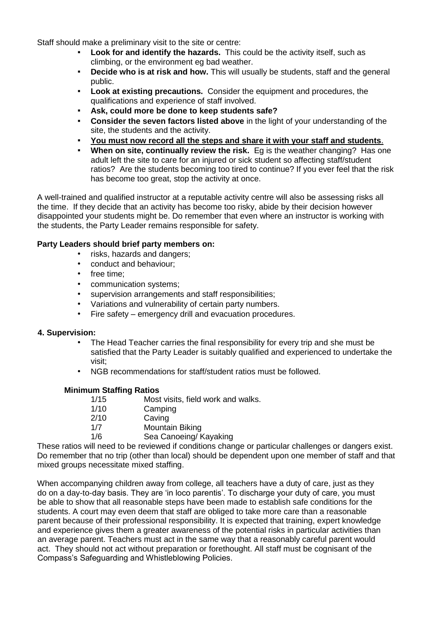Staff should make a preliminary visit to the site or centre:

- **Look for and identify the hazards.** This could be the activity itself, such as climbing, or the environment eg bad weather.
- **Decide who is at risk and how.** This will usually be students, staff and the general public.
- **Look at existing precautions.** Consider the equipment and procedures, the qualifications and experience of staff involved.
- **Ask, could more be done to keep students safe?**
- **Consider the seven factors listed above** in the light of your understanding of the site, the students and the activity.
- You must now record all the steps and share it with your staff and students.
- **When on site, continually review the risk.** Eg is the weather changing? Has one adult left the site to care for an injured or sick student so affecting staff/student ratios? Are the students becoming too tired to continue? If you ever feel that the risk has become too great, stop the activity at once.

A well-trained and qualified instructor at a reputable activity centre will also be assessing risks all the time. If they decide that an activity has become too risky, abide by their decision however disappointed your students might be. Do remember that even where an instructor is working with the students, the Party Leader remains responsible for safety.

# **Party Leaders should brief party members on:**

- risks, hazards and dangers;
- conduct and behaviour;
- free time;
- communication systems;
- supervision arrangements and staff responsibilities;
- Variations and vulnerability of certain party numbers.
- Fire safety emergency drill and evacuation procedures.

#### **4. Supervision:**

- The Head Teacher carries the final responsibility for every trip and she must be satisfied that the Party Leader is suitably qualified and experienced to undertake the visit;
- NGB recommendations for staff/student ratios must be followed.

#### **Minimum Staffing Ratios**

| 1/15 | Most visits, field work and walks. |
|------|------------------------------------|
| 1/10 | Camping                            |
| 2/10 | Caving                             |
| 1/7  | Mountain Biking                    |
| 1/6  | Sea Canoeing/ Kayaking             |

These ratios will need to be reviewed if conditions change or particular challenges or dangers exist. Do remember that no trip (other than local) should be dependent upon one member of staff and that mixed groups necessitate mixed staffing.

When accompanying children away from college, all teachers have a duty of care, just as they do on a day-to-day basis. They are 'in loco parentis'. To discharge your duty of care, you must be able to show that all reasonable steps have been made to establish safe conditions for the students. A court may even deem that staff are obliged to take more care than a reasonable parent because of their professional responsibility. It is expected that training, expert knowledge and experience gives them a greater awareness of the potential risks in particular activities than an average parent. Teachers must act in the same way that a reasonably careful parent would act. They should not act without preparation or forethought. All staff must be cognisant of the Compass's Safeguarding and Whistleblowing Policies.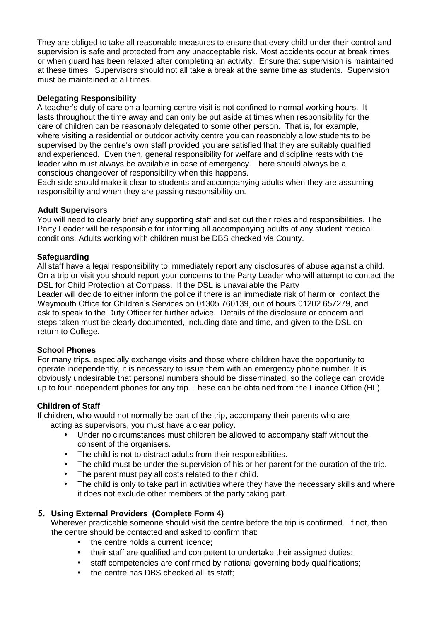They are obliged to take all reasonable measures to ensure that every child under their control and supervision is safe and protected from any unacceptable risk. Most accidents occur at break times or when guard has been relaxed after completing an activity. Ensure that supervision is maintained at these times. Supervisors should not all take a break at the same time as students. Supervision must be maintained at all times.

#### **Delegating Responsibility**

A teacher's duty of care on a learning centre visit is not confined to normal working hours. It lasts throughout the time away and can only be put aside at times when responsibility for the care of children can be reasonably delegated to some other person. That is, for example, where visiting a residential or outdoor activity centre you can reasonably allow students to be supervised by the centre's own staff provided you are satisfied that they are suitably qualified and experienced. Even then, general responsibility for welfare and discipline rests with the leader who must always be available in case of emergency. There should always be a conscious changeover of responsibility when this happens.

Each side should make it clear to students and accompanying adults when they are assuming responsibility and when they are passing responsibility on.

#### **Adult Supervisors**

You will need to clearly brief any supporting staff and set out their roles and responsibilities. The Party Leader will be responsible for informing all accompanying adults of any student medical conditions. Adults working with children must be DBS checked via County.

#### **Safeguarding**

All staff have a legal responsibility to immediately report any disclosures of abuse against a child. On a trip or visit you should report your concerns to the Party Leader who will attempt to contact the DSL for Child Protection at Compass. If the DSL is unavailable the Party Leader will decide to either inform the police if there is an immediate risk of harm or contact the Weymouth Office for Children's Services on 01305 760139, out of hours 01202 657279, and ask to speak to the Duty Officer for further advice. Details of the disclosure or concern and steps taken must be clearly documented, including date and time, and given to the DSL on return to College.

#### **School Phones**

For many trips, especially exchange visits and those where children have the opportunity to operate independently, it is necessary to issue them with an emergency phone number. It is obviously undesirable that personal numbers should be disseminated, so the college can provide up to four independent phones for any trip. These can be obtained from the Finance Office (HL).

#### **Children of Staff**

If children, who would not normally be part of the trip, accompany their parents who are acting as supervisors, you must have a clear policy.

- Under no circumstances must children be allowed to accompany staff without the consent of the organisers.
- The child is not to distract adults from their responsibilities.
- The child must be under the supervision of his or her parent for the duration of the trip.
- The parent must pay all costs related to their child.
- The child is only to take part in activities where they have the necessary skills and where it does not exclude other members of the party taking part.

# **5. Using External Providers (Complete Form 4)**

Wherever practicable someone should visit the centre before the trip is confirmed. If not, then the centre should be contacted and asked to confirm that:

- the centre holds a current licence:
- their staff are qualified and competent to undertake their assigned duties;
- staff competencies are confirmed by national governing body qualifications;
- the centre has DBS checked all its staff;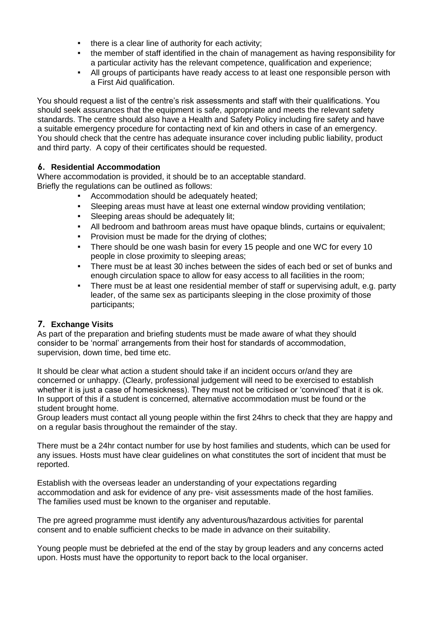- there is a clear line of authority for each activity;
- the member of staff identified in the chain of management as having responsibility for a particular activity has the relevant competence, qualification and experience;
- All groups of participants have ready access to at least one responsible person with a First Aid qualification.

You should request a list of the centre's risk assessments and staff with their qualifications. You should seek assurances that the equipment is safe, appropriate and meets the relevant safety standards. The centre should also have a Health and Safety Policy including fire safety and have a suitable emergency procedure for contacting next of kin and others in case of an emergency. You should check that the centre has adequate insurance cover including public liability, product and third party. A copy of their certificates should be requested.

# **6. Residential Accommodation**

Where accommodation is provided, it should be to an acceptable standard. Briefly the regulations can be outlined as follows:

- Accommodation should be adequately heated;
- Sleeping areas must have at least one external window providing ventilation;
- **EXECTE:** Sleeping areas should be adequately lit;
- All bedroom and bathroom areas must have opaque blinds, curtains or equivalent;
- Provision must be made for the drying of clothes;
- There should be one wash basin for every 15 people and one WC for every 10 people in close proximity to sleeping areas;
- There must be at least 30 inches between the sides of each bed or set of bunks and enough circulation space to allow for easy access to all facilities in the room;
- There must be at least one residential member of staff or supervising adult, e.g. party leader, of the same sex as participants sleeping in the close proximity of those participants;

# **7. Exchange Visits**

As part of the preparation and briefing students must be made aware of what they should consider to be 'normal' arrangements from their host for standards of accommodation, supervision, down time, bed time etc.

It should be clear what action a student should take if an incident occurs or/and they are concerned or unhappy. (Clearly, professional judgement will need to be exercised to establish whether it is just a case of homesickness). They must not be criticised or 'convinced' that it is ok. In support of this if a student is concerned, alternative accommodation must be found or the student brought home.

Group leaders must contact all young people within the first 24hrs to check that they are happy and on a regular basis throughout the remainder of the stay.

There must be a 24hr contact number for use by host families and students, which can be used for any issues. Hosts must have clear guidelines on what constitutes the sort of incident that must be reported.

Establish with the overseas leader an understanding of your expectations regarding accommodation and ask for evidence of any pre- visit assessments made of the host families. The families used must be known to the organiser and reputable.

The pre agreed programme must identify any adventurous/hazardous activities for parental consent and to enable sufficient checks to be made in advance on their suitability.

Young people must be debriefed at the end of the stay by group leaders and any concerns acted upon. Hosts must have the opportunity to report back to the local organiser.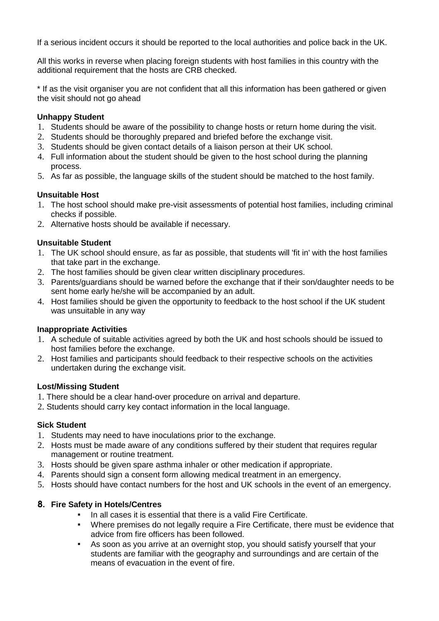If a serious incident occurs it should be reported to the local authorities and police back in the UK.

All this works in reverse when placing foreign students with host families in this country with the additional requirement that the hosts are CRB checked.

\* If as the visit organiser you are not confident that all this information has been gathered or given the visit should not go ahead

# **Unhappy Student**

- 1. Students should be aware of the possibility to change hosts or return home during the visit.
- 2. Students should be thoroughly prepared and briefed before the exchange visit.
- 3. Students should be given contact details of a liaison person at their UK school.
- 4. Full information about the student should be given to the host school during the planning process.
- 5. As far as possible, the language skills of the student should be matched to the host family.

#### **Unsuitable Host**

- 1. The host school should make pre-visit assessments of potential host families, including criminal checks if possible.
- 2. Alternative hosts should be available if necessary.

# **Unsuitable Student**

- 1. The UK school should ensure, as far as possible, that students will 'fit in' with the host families that take part in the exchange.
- 2. The host families should be given clear written disciplinary procedures.
- 3. Parents/guardians should be warned before the exchange that if their son/daughter needs to be sent home early he/she will be accompanied by an adult.
- 4. Host families should be given the opportunity to feedback to the host school if the UK student was unsuitable in any way

#### **Inappropriate Activities**

- 1. A schedule of suitable activities agreed by both the UK and host schools should be issued to host families before the exchange.
- 2. Host families and participants should feedback to their respective schools on the activities undertaken during the exchange visit.

#### **Lost/Missing Student**

- 1. There should be a clear hand-over procedure on arrival and departure.
- 2. Students should carry key contact information in the local language.

# **Sick Student**

- 1. Students may need to have inoculations prior to the exchange.
- 2. Hosts must be made aware of any conditions suffered by their student that requires regular management or routine treatment.
- 3. Hosts should be given spare asthma inhaler or other medication if appropriate.
- 4. Parents should sign a consent form allowing medical treatment in an emergency.
- 5. Hosts should have contact numbers for the host and UK schools in the event of an emergency.

# **8. Fire Safety in Hotels/Centres**

- In all cases it is essential that there is a valid Fire Certificate.
- Where premises do not legally require a Fire Certificate, there must be evidence that advice from fire officers has been followed.
- As soon as you arrive at an overnight stop, you should satisfy yourself that your students are familiar with the geography and surroundings and are certain of the means of evacuation in the event of fire.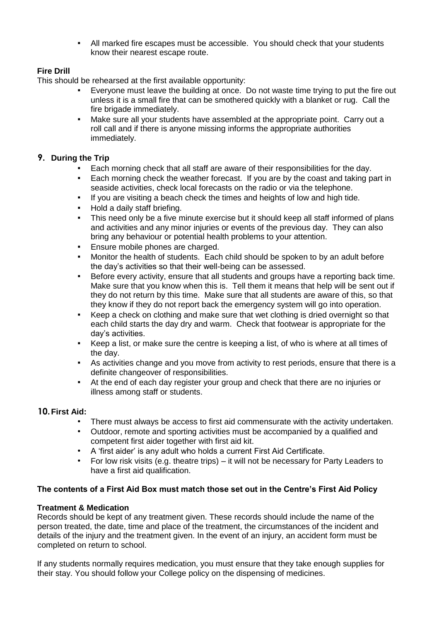▪ All marked fire escapes must be accessible. You should check that your students know their nearest escape route.

# **Fire Drill**

This should be rehearsed at the first available opportunity:

- Everyone must leave the building at once. Do not waste time trying to put the fire out unless it is a small fire that can be smothered quickly with a blanket or rug. Call the fire brigade immediately.
- Make sure all your students have assembled at the appropriate point. Carry out a roll call and if there is anyone missing informs the appropriate authorities immediately.

# **9. During the Trip**

- Each morning check that all staff are aware of their responsibilities for the day.
- Each morning check the weather forecast. If you are by the coast and taking part in seaside activities, check local forecasts on the radio or via the telephone.
- If you are visiting a beach check the times and heights of low and high tide.
- Hold a daily staff briefing.
- **•** This need only be a five minute exercise but it should keep all staff informed of plans and activities and any minor injuries or events of the previous day. They can also bring any behaviour or potential health problems to your attention.
- **Ensure mobile phones are charged.**
- Monitor the health of students. Each child should be spoken to by an adult before the day's activities so that their well-being can be assessed.
- Before every activity, ensure that all students and groups have a reporting back time. Make sure that you know when this is. Tell them it means that help will be sent out if they do not return by this time. Make sure that all students are aware of this, so that they know if they do not report back the emergency system will go into operation.
- Keep a check on clothing and make sure that wet clothing is dried overnight so that each child starts the day dry and warm. Check that footwear is appropriate for the day's activities.
- Keep a list, or make sure the centre is keeping a list, of who is where at all times of the day.
- **•** As activities change and you move from activity to rest periods, ensure that there is a definite changeover of responsibilities.
- At the end of each day register your group and check that there are no injuries or illness among staff or students.

# **10.First Aid:**

- There must always be access to first aid commensurate with the activity undertaken.
- Outdoor, remote and sporting activities must be accompanied by a qualified and competent first aider together with first aid kit.
- A 'first aider' is any adult who holds a current First Aid Certificate.
- For low risk visits (e.g. theatre trips) it will not be necessary for Party Leaders to have a first aid qualification.

# **The contents of a First Aid Box must match those set out in the Centre's First Aid Policy**

# **Treatment & Medication**

Records should be kept of any treatment given. These records should include the name of the person treated, the date, time and place of the treatment, the circumstances of the incident and details of the injury and the treatment given. In the event of an injury, an accident form must be completed on return to school.

If any students normally requires medication, you must ensure that they take enough supplies for their stay. You should follow your College policy on the dispensing of medicines.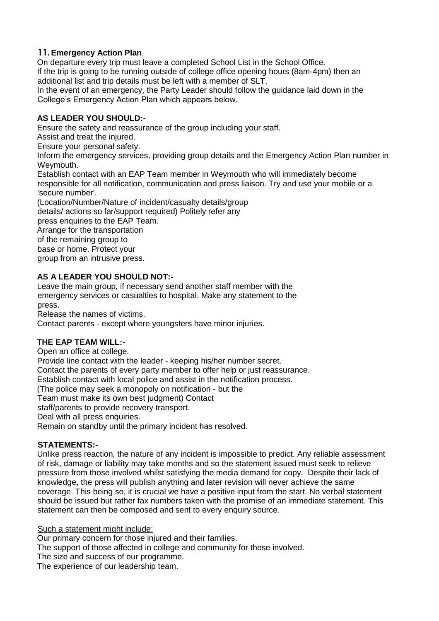# **11.Emergency Action Plan**.

On departure every trip must leave a completed School List in the School Office. If the trip is going to be running outside of college office opening hours (8am-4pm) then an additional list and trip details must be left with a member of SLT.

In the event of an emergency, the Party Leader should follow the guidance laid down in the College's Emergency Action Plan which appears below.

# **AS LEADER YOU SHOULD:-**

Ensure the safety and reassurance of the group including your staff.

Assist and treat the injured.

Ensure your personal safety.

Inform the emergency services, providing group details and the Emergency Action Plan number in Weymouth.

Establish contact with an EAP Team member in Weymouth who will immediately become responsible for all notification, communication and press liaison. Try and use your mobile or a 'secure number'.

(Location/Number/Nature of incident/casualty details/group details/ actions so far/support required) Politely refer any press enquiries to the EAP Team. Arrange for the transportation of the remaining group to base or home. Protect your group from an intrusive press.

# **AS A LEADER YOU SHOULD NOT:-**

Leave the main group, if necessary send another staff member with the emergency services or casualties to hospital. Make any statement to the press.

Release the names of victims.

Contact parents - except where youngsters have minor injuries.

# **THE EAP TEAM WILL:-**

Open an office at college.

Provide line contact with the leader - keeping his/her number secret.

Contact the parents of every party member to offer help or just reassurance.

Establish contact with local police and assist in the notification process.

(The police may seek a monopoly on notification - but the

Team must make its own best judgment) Contact

staff/parents to provide recovery transport.

Deal with all press enquiries.

Remain on standby until the primary incident has resolved.

# **STATEMENTS:-**

Unlike press reaction, the nature of any incident is impossible to predict. Any reliable assessment of risk, damage or liability may take months and so the statement issued must seek to relieve pressure from those involved whilst satisfying the media demand for copy. Despite their lack of knowledge, the press will publish anything and later revision will never achieve the same coverage. This being so, it is crucial we have a positive input from the start. No verbal statement should be issued but rather fax numbers taken with the promise of an immediate statement. This statement can then be composed and sent to every enquiry source.

Such a statement might include:

Our primary concern for those injured and their families.

The support of those affected in college and community for those involved.

The size and success of our programme.

The experience of our leadership team.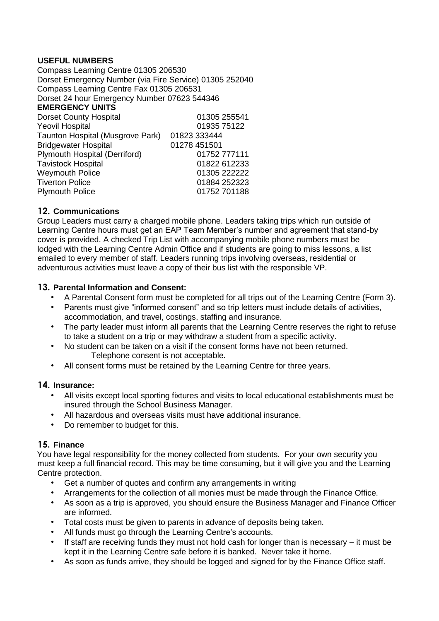# **USEFUL NUMBERS**

Compass Learning Centre 01305 206530 Dorset Emergency Number (via Fire Service) 01305 252040 Compass Learning Centre Fax 01305 206531 Dorset 24 hour Emergency Number 07623 544346 **EMERGENCY UNITS**  Dorset County Hospital 01305 255541 Yeovil Hospital **DESETS** 01935 75122 Taunton Hospital (Musgrove Park) 01823 333444 Bridgewater Hospital **01278 451501**<br>Plymouth Hospital (Derriford) 01752 777111 Plymouth Hospital (Derriford) Tavistock Hospital **Canadian Control** Control Control O1822 612233 Weymouth Police 01305 222222 Tiverton Police 01884 252323 Plymouth Police 01752 701188

# **12. Communications**

Group Leaders must carry a charged mobile phone. Leaders taking trips which run outside of Learning Centre hours must get an EAP Team Member's number and agreement that stand-by cover is provided. A checked Trip List with accompanying mobile phone numbers must be lodged with the Learning Centre Admin Office and if students are going to miss lessons, a list emailed to every member of staff. Leaders running trips involving overseas, residential or adventurous activities must leave a copy of their bus list with the responsible VP.

#### **13. Parental Information and Consent:**

- A Parental Consent form must be completed for all trips out of the Learning Centre (Form 3).
- Parents must give "informed consent" and so trip letters must include details of activities, accommodation, and travel, costings, staffing and insurance.
- The party leader must inform all parents that the Learning Centre reserves the right to refuse to take a student on a trip or may withdraw a student from a specific activity.
- No student can be taken on a visit if the consent forms have not been returned. Telephone consent is not acceptable.
- All consent forms must be retained by the Learning Centre for three years.

#### **14. Insurance:**

- All visits except local sporting fixtures and visits to local educational establishments must be insured through the School Business Manager.
- All hazardous and overseas visits must have additional insurance.
- Do remember to budget for this.

# **15. Finance**

You have legal responsibility for the money collected from students. For your own security you must keep a full financial record. This may be time consuming, but it will give you and the Learning Centre protection.

- Get a number of quotes and confirm any arrangements in writing
- Arrangements for the collection of all monies must be made through the Finance Office.
- As soon as a trip is approved, you should ensure the Business Manager and Finance Officer are informed.
- Total costs must be given to parents in advance of deposits being taken.
- All funds must go through the Learning Centre's accounts.
- If staff are receiving funds they must not hold cash for longer than is necessary  $-$  it must be kept it in the Learning Centre safe before it is banked. Never take it home.
- As soon as funds arrive, they should be logged and signed for by the Finance Office staff.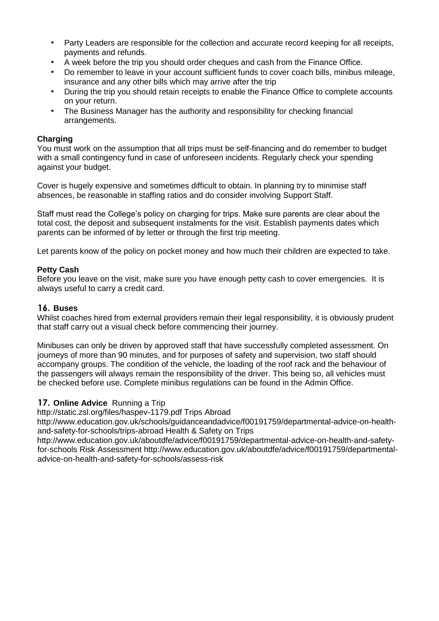- Party Leaders are responsible for the collection and accurate record keeping for all receipts, payments and refunds.
- A week before the trip you should order cheques and cash from the Finance Office.
- Do remember to leave in your account sufficient funds to cover coach bills, minibus mileage, insurance and any other bills which may arrive after the trip
- During the trip you should retain receipts to enable the Finance Office to complete accounts on your return.
- The Business Manager has the authority and responsibility for checking financial arrangements.

# **Charging**

You must work on the assumption that all trips must be self-financing and do remember to budget with a small contingency fund in case of unforeseen incidents. Regularly check your spending against your budget.

Cover is hugely expensive and sometimes difficult to obtain. In planning try to minimise staff absences, be reasonable in staffing ratios and do consider involving Support Staff.

Staff must read the College's policy on charging for trips. Make sure parents are clear about the total cost, the deposit and subsequent instalments for the visit. Establish payments dates which parents can be informed of by letter or through the first trip meeting.

Let parents know of the policy on pocket money and how much their children are expected to take.

#### **Petty Cash**

Before you leave on the visit, make sure you have enough petty cash to cover emergencies. It is always useful to carry a credit card.

### **16. Buses**

Whilst coaches hired from external providers remain their legal responsibility, it is obviously prudent that staff carry out a visual check before commencing their journey.

Minibuses can only be driven by approved staff that have successfully completed assessment. On journeys of more than 90 minutes, and for purposes of safety and supervision, two staff should accompany groups. The condition of the vehicle, the loading of the roof rack and the behaviour of the passengers will always remain the responsibility of the driver. This being so, all vehicles must be checked before use. Complete minibus regulations can be found in the Admin Office.

#### **17. Online Advice** Running a Trip

http://static.zsl.org/files/haspev-1179.pdf Trips Abroad

http://www.education.gov.uk/schools/guidanceandadvice/f00191759/departmental-advice-on-healthand-safety-for-schools/trips-abroad Health & Safety on Trips

http://www.education.gov.uk/aboutdfe/advice/f00191759/departmental-advice-on-health-and-safetyfor-schools Risk Assessment http://www.education.gov.uk/aboutdfe/advice/f00191759/departmentaladvice-on-health-and-safety-for-schools/assess-risk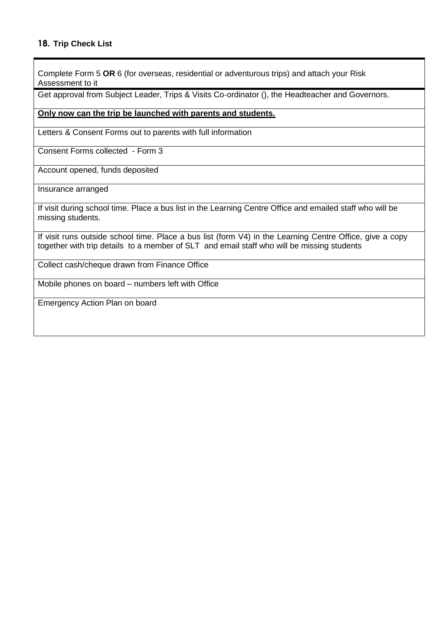Complete Form 5 **OR** 6 (for overseas, residential or adventurous trips) and attach your Risk Assessment to it

Get approval from Subject Leader, Trips & Visits Co-ordinator (), the Headteacher and Governors.

#### **Only now can the trip be launched with parents and students.**

Letters & Consent Forms out to parents with full information

Consent Forms collected - Form 3

Account opened, funds deposited

Insurance arranged

If visit during school time. Place a bus list in the Learning Centre Office and emailed staff who will be missing students.

If visit runs outside school time. Place a bus list (form V4) in the Learning Centre Office, give a copy together with trip details to a member of SLT and email staff who will be missing students

Collect cash/cheque drawn from Finance Office

Mobile phones on board – numbers left with Office

Emergency Action Plan on board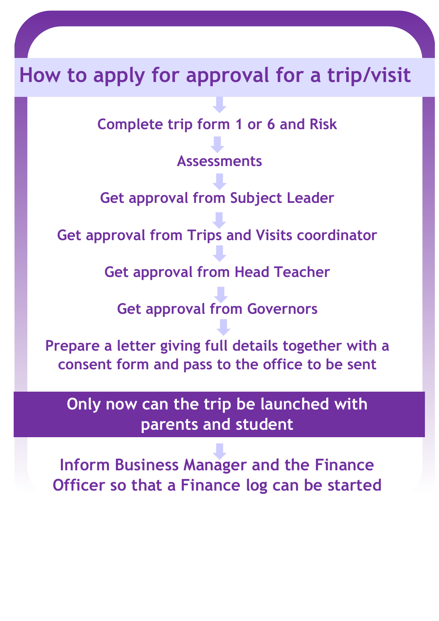# **How to apply for approval for a trip/visit**

**Complete trip form 1 or 6 and Risk**

**Assessments**

**Get approval from Subject Leader**

**Get approval from Trips and Visits coordinator**

**Get approval from Head Teacher**

**Get approval from Governors**

**Prepare a letter giving full details together with a consent form and pass to the office to be sent**

**Only now can the trip be launched with parents and student**

**Inform Business Manager and the Finance Officer so that a Finance log can be started**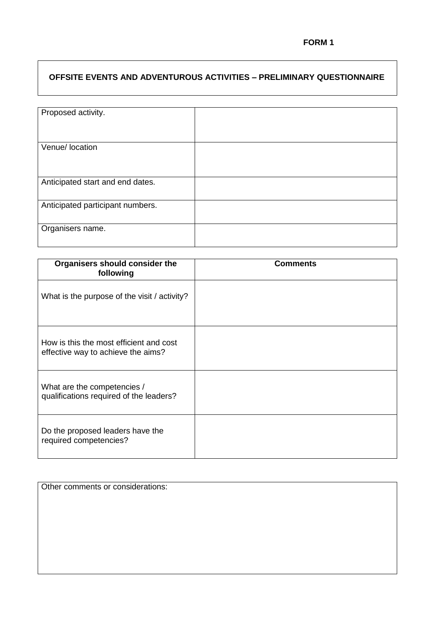# **OFFSITE EVENTS AND ADVENTUROUS ACTIVITIES – PRELIMINARY QUESTIONNAIRE**

| Proposed activity.               |  |
|----------------------------------|--|
|                                  |  |
| Venue/ location                  |  |
|                                  |  |
| Anticipated start and end dates. |  |
| Anticipated participant numbers. |  |
| Organisers name.                 |  |

| Organisers should consider the<br>following                                   | <b>Comments</b> |
|-------------------------------------------------------------------------------|-----------------|
| What is the purpose of the visit / activity?                                  |                 |
| How is this the most efficient and cost<br>effective way to achieve the aims? |                 |
| What are the competencies /<br>qualifications required of the leaders?        |                 |
| Do the proposed leaders have the<br>required competencies?                    |                 |

Other comments or considerations: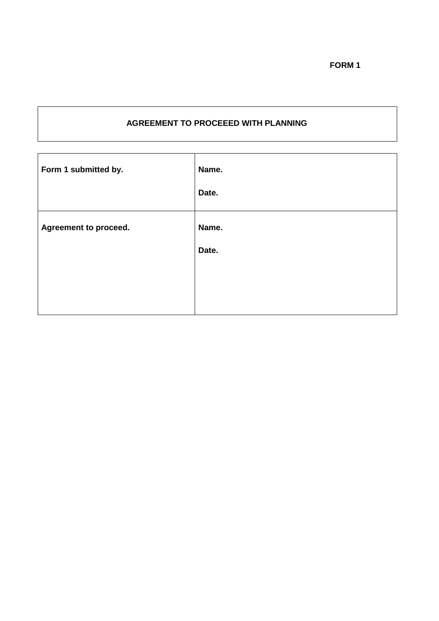# **AGREEMENT TO PROCEEED WITH PLANNING**

| Form 1 submitted by.         | Name.<br>Date. |
|------------------------------|----------------|
| <b>Agreement to proceed.</b> | Name.<br>Date. |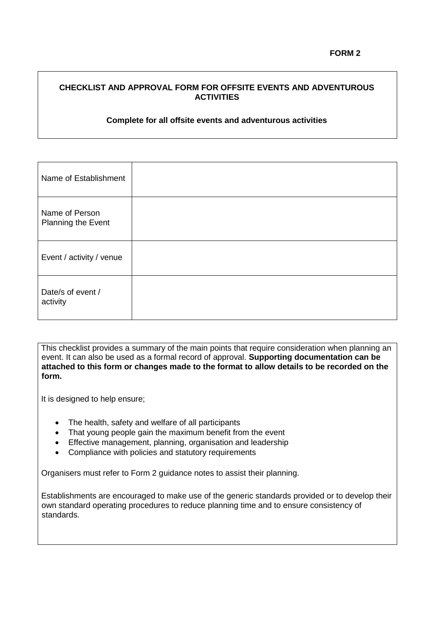# **CHECKLIST AND APPROVAL FORM FOR OFFSITE EVENTS AND ADVENTUROUS ACTIVITIES**

#### **Complete for all offsite events and adventurous activities**

| Name of Establishment                |  |
|--------------------------------------|--|
| Name of Person<br>Planning the Event |  |
| Event / activity / venue             |  |
| Date/s of event /<br>activity        |  |

This checklist provides a summary of the main points that require consideration when planning an event. It can also be used as a formal record of approval. **Supporting documentation can be attached to this form or changes made to the format to allow details to be recorded on the form.**

It is designed to help ensure;

- The health, safety and welfare of all participants
- That young people gain the maximum benefit from the event
- **Effective management, planning, organisation and leadership**
- Compliance with policies and statutory requirements

Organisers must refer to Form 2 guidance notes to assist their planning.

Establishments are encouraged to make use of the generic standards provided or to develop their own standard operating procedures to reduce planning time and to ensure consistency of standards.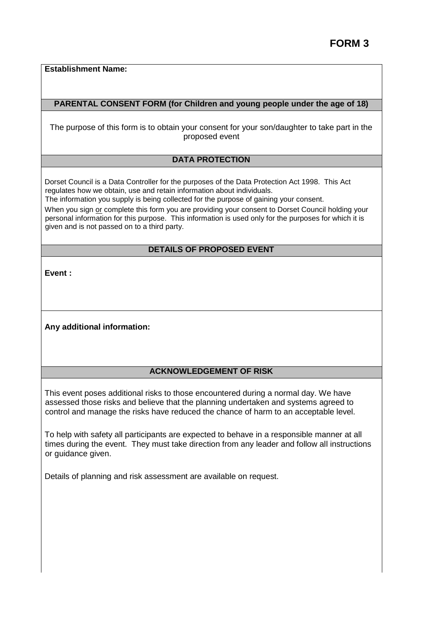**Establishment Name:** 

#### **PARENTAL CONSENT FORM (for Children and young people under the age of 18)**

The purpose of this form is to obtain your consent for your son/daughter to take part in the proposed event

#### **DATA PROTECTION**

Dorset Council is a Data Controller for the purposes of the Data Protection Act 1998. This Act regulates how we obtain, use and retain information about individuals.

The information you supply is being collected for the purpose of gaining your consent.

When you sign or complete this form you are providing your consent to Dorset Council holding your personal information for this purpose. This information is used only for the purposes for which it is given and is not passed on to a third party.

# **DETAILS OF PROPOSED EVENT**

**Event :** 

**Any additional information:**

#### **ACKNOWLEDGEMENT OF RISK**

This event poses additional risks to those encountered during a normal day. We have assessed those risks and believe that the planning undertaken and systems agreed to control and manage the risks have reduced the chance of harm to an acceptable level.

To help with safety all participants are expected to behave in a responsible manner at all times during the event. They must take direction from any leader and follow all instructions or guidance given.

Details of planning and risk assessment are available on request.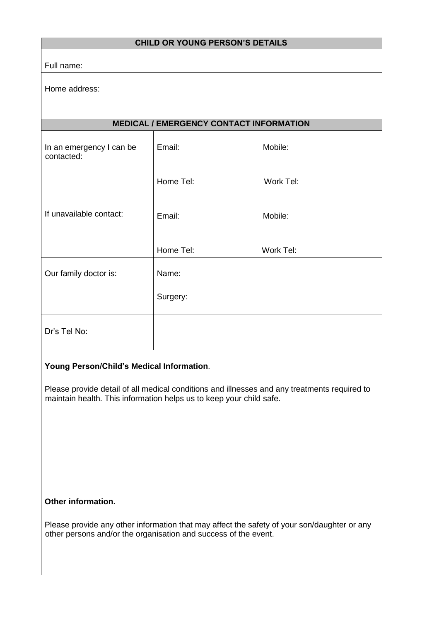| <b>CHILD OR YOUNG PERSON'S DETAILS</b> |                                                |           |
|----------------------------------------|------------------------------------------------|-----------|
| Full name:                             |                                                |           |
| Home address:                          |                                                |           |
|                                        |                                                |           |
|                                        | <b>MEDICAL / EMERGENCY CONTACT INFORMATION</b> |           |
| In an emergency I can be<br>contacted: | Email:                                         | Mobile:   |
|                                        | Home Tel:                                      | Work Tel: |
| If unavailable contact:                | Email:                                         | Mobile:   |
|                                        | Home Tel:                                      | Work Tel: |
| Our family doctor is:                  | Name:                                          |           |
|                                        | Surgery:                                       |           |
| Dr's Tel No:                           |                                                |           |

# **Young Person/Child's Medical Information**.

Please provide detail of all medical conditions and illnesses and any treatments required to maintain health. This information helps us to keep your child safe.

# **Other information.**

Please provide any other information that may affect the safety of your son/daughter or any other persons and/or the organisation and success of the event.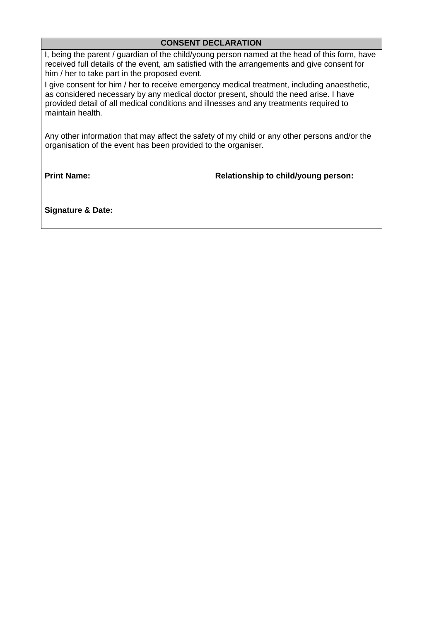# **CONSENT DECLARATION**

I, being the parent / guardian of the child/young person named at the head of this form, have received full details of the event, am satisfied with the arrangements and give consent for him / her to take part in the proposed event.

I give consent for him / her to receive emergency medical treatment, including anaesthetic, as considered necessary by any medical doctor present, should the need arise. I have provided detail of all medical conditions and illnesses and any treatments required to maintain health.

Any other information that may affect the safety of my child or any other persons and/or the organisation of the event has been provided to the organiser.

**Print Name:**

**Relationship to child/young person:**

**Signature & Date:**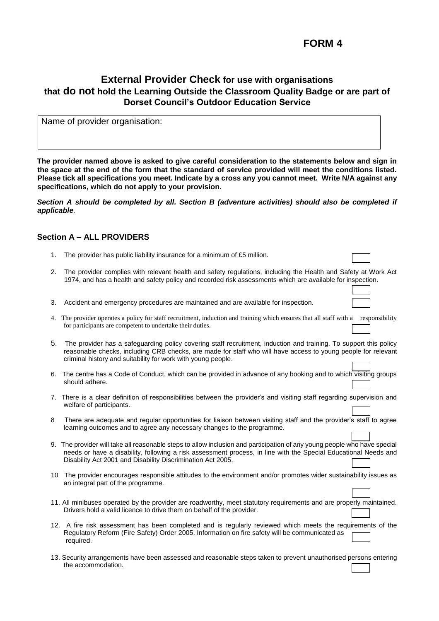# **FORM 4**

# **External Provider Check for use with organisations that do not hold the Learning Outside the Classroom Quality Badge or are part of Dorset Council's Outdoor Education Service**

Name of provider organisation:

**The provider named above is asked to give careful consideration to the statements below and sign in the space at the end of the form that the standard of service provided will meet the conditions listed. Please tick all specifications you meet. Indicate by a cross any you cannot meet. Write N/A against any specifications, which do not apply to your provision.**

*Section A should be completed by all. Section B (adventure activities) should also be completed if applicable.*

#### **Section A – ALL PROVIDERS**

- 1. The provider has public liability insurance for a minimum of £5 million.
- 2. The provider complies with relevant health and safety regulations, including the Health and Safety at Work Act 1974, and has a health and safety policy and recorded risk assessments which are available for inspection.
- 3. Accident and emergency procedures are maintained and are available for inspection.
- 4. The provider operates a policy for staff recruitment, induction and training which ensures that all staff with a responsibility for participants are competent to undertake their duties.
- 5. The provider has a safeguarding policy covering staff recruitment, induction and training. To support this policy reasonable checks, including CRB checks, are made for staff who will have access to young people for relevant criminal history and suitability for work with young people.
- 6. The centre has a Code of Conduct, which can be provided in advance of any booking and to which visiting groups should adhere.
- 7. There is a clear definition of responsibilities between the provider's and visiting staff regarding supervision and welfare of participants.
- There are adequate and regular opportunities for liaison between visiting staff and the provider's staff to agree learning outcomes and to agree any necessary changes to the programme.
- 9. The provider will take all reasonable steps to allow inclusion and participation of any young people who have special needs or have a disability, following a risk assessment process, in line with the Special Educational Needs and Disability Act 2001 and Disability Discrimination Act 2005.
- 10 The provider encourages responsible attitudes to the environment and/or promotes wider sustainability issues as an integral part of the programme.
- 11. All minibuses operated by the provider are roadworthy, meet statutory requirements and are properly maintained. Drivers hold a valid licence to drive them on behalf of the provider.
- 12. A fire risk assessment has been completed and is regularly reviewed which meets the requirements of the Regulatory Reform (Fire Safety) Order 2005. Information on fire safety will be communicated as required.
- 13. Security arrangements have been assessed and reasonable steps taken to prevent unauthorised persons entering the accommodation.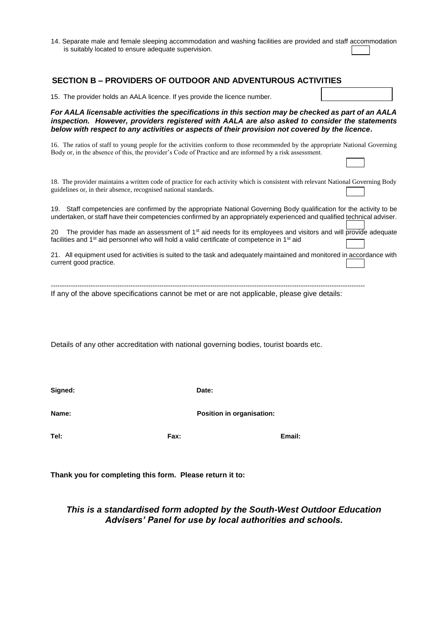14. Separate male and female sleeping accommodation and washing facilities are provided and staff accommodation is suitably located to ensure adequate supervision.

#### **SECTION B – PROVIDERS OF OUTDOOR AND ADVENTUROUS ACTIVITIES**

| 15. The provider holds an AALA licence. If yes provide the licence number.                                                                                                                                                                                                                             |  |  |  |
|--------------------------------------------------------------------------------------------------------------------------------------------------------------------------------------------------------------------------------------------------------------------------------------------------------|--|--|--|
| For AALA licensable activities the specifications in this section may be checked as part of an AALA<br>inspection. However, providers registered with AALA are also asked to consider the statements<br>below with respect to any activities or aspects of their provision not covered by the licence. |  |  |  |
| 16. The ratios of staff to young people for the activities conform to those recommended by the appropriate National Governing<br>Body or, in the absence of this, the provider's Code of Practice and are informed by a risk assessment.                                                               |  |  |  |
| 18. The provider maintains a written code of practice for each activity which is consistent with relevant National Governing Body<br>guidelines or, in their absence, recognised national standards.                                                                                                   |  |  |  |
| 19. Staff competencies are confirmed by the appropriate National Governing Body qualification for the activity to be<br>undertaken, or staff have their competencies confirmed by an appropriately experienced and qualified technical adviser.                                                        |  |  |  |
| The provider has made an assessment of 1 <sup>st</sup> aid needs for its employees and visitors and will provide adequate<br>20<br>facilities and 1 <sup>st</sup> aid personnel who will hold a valid certificate of competence in 1 <sup>st</sup> aid                                                 |  |  |  |
| 21. All equipment used for activities is suited to the task and adequately maintained and monitored in accordance with<br>current good practice.                                                                                                                                                       |  |  |  |
| If any of the above specifications cannot be met or are not applicable, please give details:                                                                                                                                                                                                           |  |  |  |

Details of any other accreditation with national governing bodies, tourist boards etc.

**Signed: Date:**

**Name: Name: Position in organisation:** 

**Tel: Fax: Email:**

٦

**Thank you for completing this form. Please return it to:** 

# *This is a standardised form adopted by the South-West Outdoor Education Advisers' Panel for use by local authorities and schools.*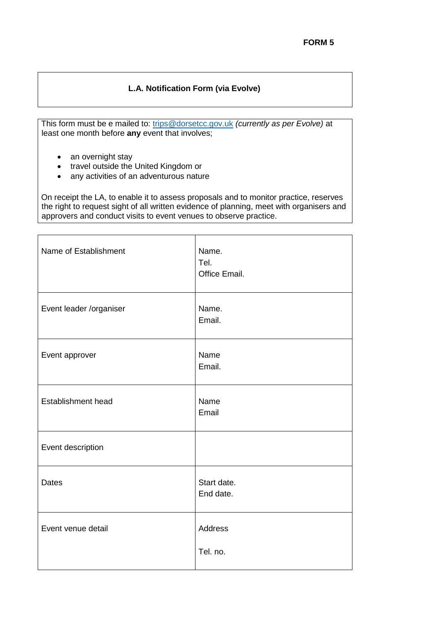# **L.A. Notification Form (via Evolve)**

This form must be e mailed to: [trips@dorsetcc.gov.uk](mailto:trips@dorsetcc.gov.uk) *(currently as per Evolve)* at least one month before **any** event that involves;

- an overnight stay
- travel outside the United Kingdom or
- any activities of an adventurous nature

On receipt the LA, to enable it to assess proposals and to monitor practice, reserves the right to request sight of all written evidence of planning, meet with organisers and approvers and conduct visits to event venues to observe practice.

| Name of Establishment   | Name.<br>Tel.<br>Office Email. |
|-------------------------|--------------------------------|
| Event leader /organiser | Name.<br>Email.                |
| Event approver          | Name<br>Email.                 |
| Establishment head      | Name<br>Email                  |
| Event description       |                                |
| <b>Dates</b>            | Start date.<br>End date.       |
| Event venue detail      | <b>Address</b><br>Tel. no.     |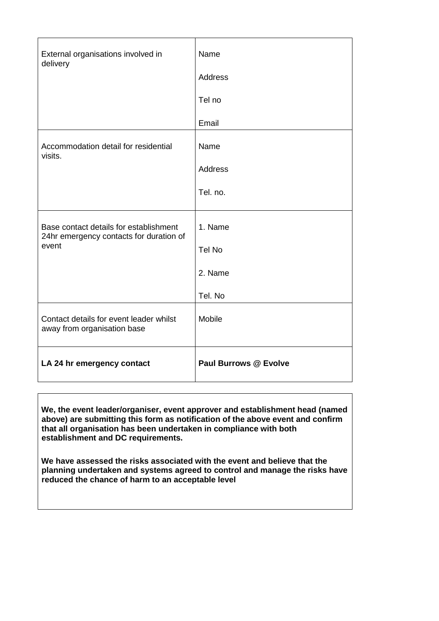| External organisations involved in<br>delivery                                             | Name<br>Address<br>Tel no<br>Email      |
|--------------------------------------------------------------------------------------------|-----------------------------------------|
| Accommodation detail for residential<br>visits.                                            | Name<br>Address<br>Tel. no.             |
| Base contact details for establishment<br>24hr emergency contacts for duration of<br>event | 1. Name<br>Tel No<br>2. Name<br>Tel. No |
| Contact details for event leader whilst<br>away from organisation base                     | Mobile                                  |
| LA 24 hr emergency contact                                                                 | <b>Paul Burrows @ Evolve</b>            |

**We, the event leader/organiser, event approver and establishment head (named above) are submitting this form as notification of the above event and confirm that all organisation has been undertaken in compliance with both establishment and DC requirements.**

**We have assessed the risks associated with the event and believe that the planning undertaken and systems agreed to control and manage the risks have reduced the chance of harm to an acceptable level**